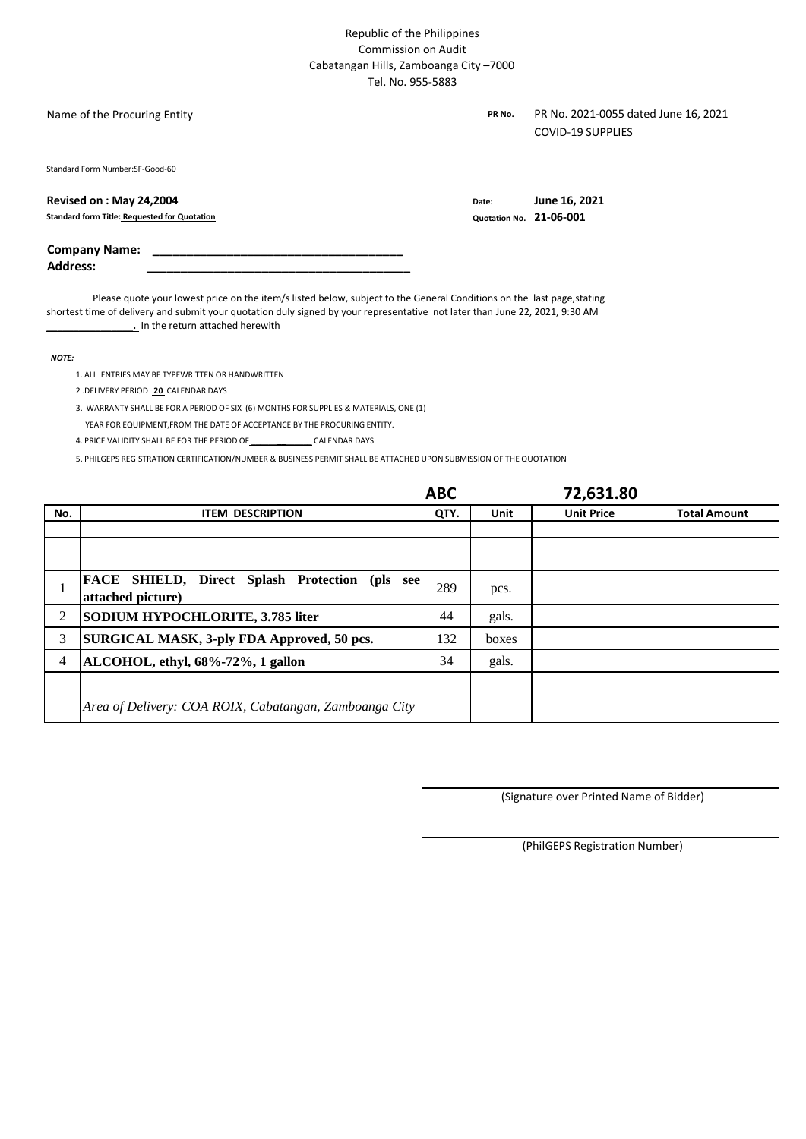### Republic of the Philippines Commission on Audit Cabatangan Hills, Zamboanga City –7000 Tel. No. 955-5883

Name of the Procuring Entity **PR No. PR No. PR No.** 

PR No. 2021-0055 dated June 16, 2021

Standard Form Number:SF-Good-60

**Revised on : May 24,2004 Date: Date: Date: Date: Dune 16, 2021** 

**Company Name: \_\_\_\_\_\_\_\_\_\_\_\_\_\_\_\_\_\_\_\_\_\_\_\_\_\_\_\_\_\_\_\_\_\_\_\_\_ Address: \_\_\_\_\_\_\_\_\_\_\_\_\_\_\_\_\_\_\_\_\_\_\_\_\_\_\_\_\_\_\_\_\_\_\_\_\_\_\_**

 Please quote your lowest price on the item/s listed below, subject to the General Conditions on the last page,stating shortest time of delivery and submit your quotation duly signed by your representative not later than June 22, 2021, 9:30 AM **\_\_\_\_\_\_\_\_\_\_\_\_\_\_\_\_.** In the return attached herewith

*NOTE:*

1. ALL ENTRIES MAY BE TYPEWRITTEN OR HANDWRITTEN

2 .DELIVERY PERIOD **20** CALENDAR DAYS

3. WARRANTY SHALL BE FOR A PERIOD OF SIX (6) MONTHS FOR SUPPLIES & MATERIALS, ONE (1) YEAR FOR EQUIPMENT,FROM THE DATE OF ACCEPTANCE BY THE PROCURING ENTITY.

4. PRICE VALIDITY SHALL BE FOR THE PERIOD OF \_\_\_\_\_\_**\_\_**\_\_\_\_\_\_ CALENDAR DAYS

5. PHILGEPS REGISTRATION CERTIFICATION/NUMBER & BUSINESS PERMIT SHALL BE ATTACHED UPON SUBMISSION OF THE QUOTATION

|                |                                                                        | <b>ABC</b> |             | 72,631.80         |                     |
|----------------|------------------------------------------------------------------------|------------|-------------|-------------------|---------------------|
| No.            | <b>ITEM DESCRIPTION</b>                                                | QTY.       | <b>Unit</b> | <b>Unit Price</b> | <b>Total Amount</b> |
|                |                                                                        |            |             |                   |                     |
|                |                                                                        |            |             |                   |                     |
|                |                                                                        |            |             |                   |                     |
|                | FACE SHIELD, Direct Splash Protection<br>(pls see<br>attached picture) | 289        | pcs.        |                   |                     |
| 2              | <b>SODIUM HYPOCHLORITE, 3.785 liter</b>                                | 44         | gals.       |                   |                     |
| 3              | SURGICAL MASK, 3-ply FDA Approved, 50 pcs.                             | 132        | boxes       |                   |                     |
| $\overline{4}$ | ALCOHOL, ethyl, 68%-72%, 1 gallon                                      | 34         | gals.       |                   |                     |
|                |                                                                        |            |             |                   |                     |
|                | Area of Delivery: COA ROIX, Cabatangan, Zamboanga City                 |            |             |                   |                     |

(Signature over Printed Name of Bidder)

(PhilGEPS Registration Number)

**Standard form Title: Requested for Quotation Quotation No. 21-06-001**

COVID-19 SUPPLIES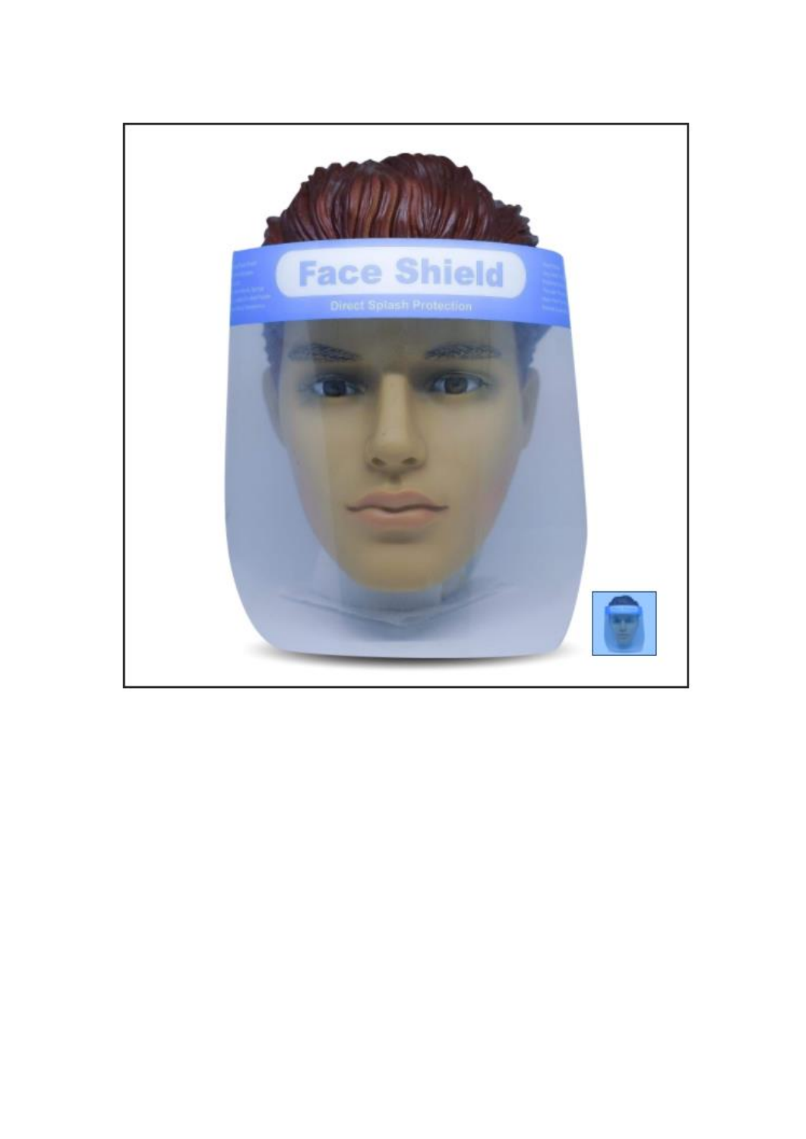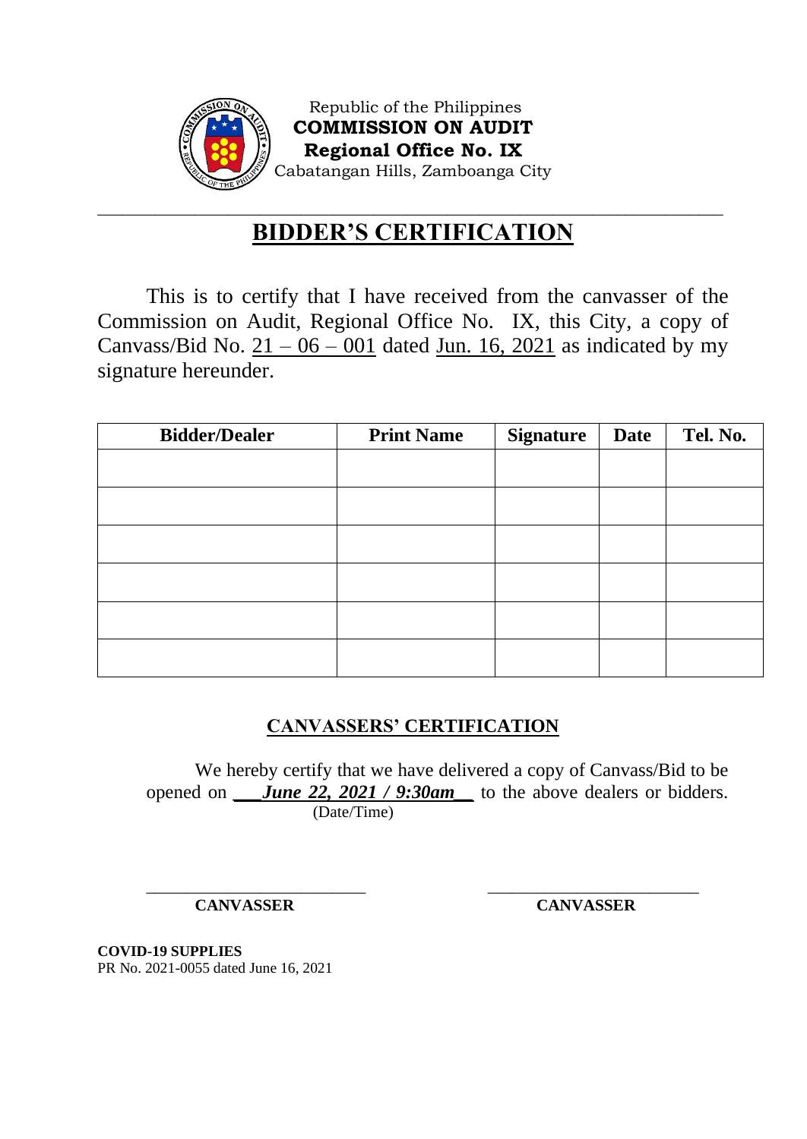

Republic of the Philippines **COMMISSION ON AUDIT Regional Office No. IX** Cabatangan Hills, Zamboanga City

## \_\_\_\_\_\_\_\_\_\_\_\_\_\_\_\_\_\_\_\_\_\_\_\_\_\_\_\_\_\_\_\_\_\_\_\_\_\_\_\_\_\_\_\_\_\_\_\_\_\_\_\_\_\_\_\_\_\_\_\_\_\_\_\_\_\_\_\_\_\_\_\_\_\_\_\_\_ **BIDDER'S CERTIFICATION**

This is to certify that I have received from the canvasser of the Commission on Audit, Regional Office No. IX, this City, a copy of Canvass/Bid No.  $21 - 06 - 001$  dated Jun. 16, 2021 as indicated by my signature hereunder.

| <b>Bidder/Dealer</b> | <b>Print Name</b> | <b>Signature</b> | <b>Date</b> | Tel. No. |
|----------------------|-------------------|------------------|-------------|----------|
|                      |                   |                  |             |          |
|                      |                   |                  |             |          |
|                      |                   |                  |             |          |
|                      |                   |                  |             |          |
|                      |                   |                  |             |          |
|                      |                   |                  |             |          |

## **CANVASSERS' CERTIFICATION**

We hereby certify that we have delivered a copy of Canvass/Bid to be opened on *\_\_\_June 22, 2021 / 9:30am\_\_* to the above dealers or bidders. (Date/Time)

\_\_\_\_\_\_\_\_\_\_\_\_\_\_\_\_\_\_\_\_\_\_\_\_\_\_\_ \_\_\_\_\_\_\_\_\_\_\_\_\_\_\_\_\_\_\_\_\_\_\_\_\_\_

**CANVASSER CANVASSER**

**COVID-19 SUPPLIES** PR No. 2021-0055 dated June 16, 2021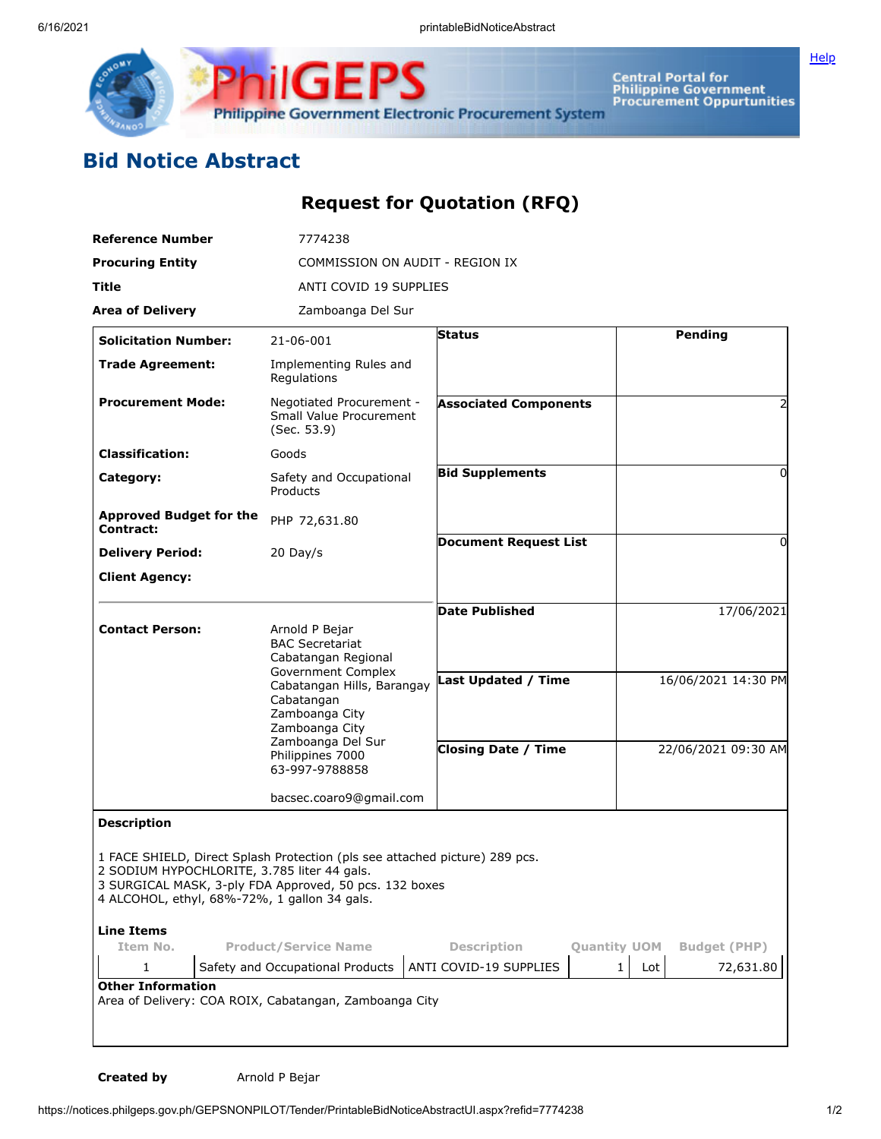

Central Portal for<br>Philippine Government<br>Procurement Oppurtunities

**[Help](javascript:void(window.open()** 

# **Bid Notice Abstract**

## **Request for Quotation (RFQ)**

| <b>Reference Number</b>                                                                     | 7774238                                                                                                                               |                              |                                            |
|---------------------------------------------------------------------------------------------|---------------------------------------------------------------------------------------------------------------------------------------|------------------------------|--------------------------------------------|
| <b>Procuring Entity</b>                                                                     | COMMISSION ON AUDIT - REGION IX                                                                                                       |                              |                                            |
| Title                                                                                       | ANTI COVID 19 SUPPLIES                                                                                                                |                              |                                            |
| <b>Area of Delivery</b>                                                                     | Zamboanga Del Sur                                                                                                                     |                              |                                            |
| <b>Solicitation Number:</b>                                                                 | 21-06-001                                                                                                                             | <b>Status</b>                | Pending                                    |
| <b>Trade Agreement:</b>                                                                     | Implementing Rules and<br>Regulations                                                                                                 |                              |                                            |
| <b>Procurement Mode:</b>                                                                    | Negotiated Procurement -<br>Small Value Procurement<br>(Sec. 53.9)                                                                    | <b>Associated Components</b> |                                            |
| <b>Classification:</b>                                                                      | Goods                                                                                                                                 |                              |                                            |
| Category:                                                                                   | Safety and Occupational<br>Products                                                                                                   | <b>Bid Supplements</b>       | O                                          |
| <b>Approved Budget for the</b><br>Contract:                                                 | PHP 72,631.80                                                                                                                         |                              |                                            |
| <b>Delivery Period:</b>                                                                     | 20 Day/s                                                                                                                              | <b>Document Request List</b> | O                                          |
| <b>Client Agency:</b>                                                                       |                                                                                                                                       |                              |                                            |
|                                                                                             |                                                                                                                                       | <b>Date Published</b>        | 17/06/2021                                 |
| <b>Contact Person:</b>                                                                      | Arnold P Bejar<br><b>BAC Secretariat</b><br>Cabatangan Regional<br><b>Government Complex</b>                                          |                              |                                            |
|                                                                                             | Cabatangan Hills, Barangay<br>Cabatangan<br>Zamboanga City<br>Zamboanga City                                                          | <b>Last Updated / Time</b>   | 16/06/2021 14:30 PM                        |
|                                                                                             | Zamboanga Del Sur<br>Philippines 7000<br>63-997-9788858                                                                               | <b>Closing Date / Time</b>   | 22/06/2021 09:30 AM                        |
|                                                                                             | bacsec.coaro9@gmail.com                                                                                                               |                              |                                            |
| <b>Description</b>                                                                          |                                                                                                                                       |                              |                                            |
| 2 SODIUM HYPOCHLORITE, 3.785 liter 44 gals.<br>4 ALCOHOL, ethyl, 68%-72%, 1 gallon 34 gals. | 1 FACE SHIELD, Direct Splash Protection (pls see attached picture) 289 pcs.<br>3 SURGICAL MASK, 3-ply FDA Approved, 50 pcs. 132 boxes |                              |                                            |
| <b>Line Items</b><br>Item No.                                                               | <b>Product/Service Name</b>                                                                                                           | <b>Description</b>           | <b>Quantity UOM</b><br><b>Budget (PHP)</b> |
| $\mathbf{1}$                                                                                | Safety and Occupational Products                                                                                                      | ANTI COVID-19 SUPPLIES       | $\mathbf{1}$<br>Lot<br>72,631.80           |
| <b>Other Information</b>                                                                    | Area of Delivery: COA ROIX, Cabatangan, Zamboanga City                                                                                |                              |                                            |
|                                                                                             |                                                                                                                                       |                              |                                            |